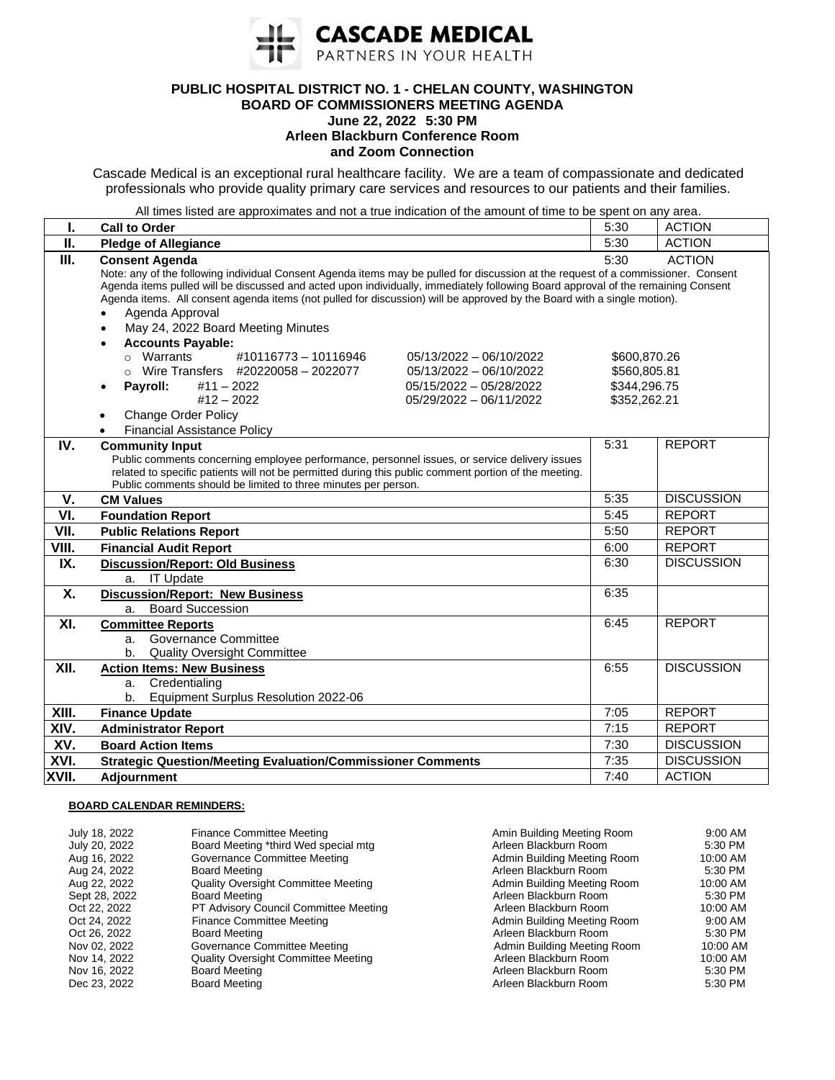

## **PUBLIC HOSPITAL DISTRICT NO. 1 - CHELAN COUNTY, WASHINGTON BOARD OF COMMISSIONERS MEETING AGENDA**

## **June 22, 2022 5:30 PM Arleen Blackburn Conference Room and Zoom Connection**

Cascade Medical is an exceptional rural healthcare facility. We are a team of compassionate and dedicated professionals who provide quality primary care services and resources to our patients and their families.

All times listed are approximates and not a true indication of the amount of time to be spent on any area.

| I.    | <b>Call to Order</b>                                                                                                                                                                                                                                                                                                                                                                                                                                                               | 5:30                                                         | <b>ACTION</b>     |  |
|-------|------------------------------------------------------------------------------------------------------------------------------------------------------------------------------------------------------------------------------------------------------------------------------------------------------------------------------------------------------------------------------------------------------------------------------------------------------------------------------------|--------------------------------------------------------------|-------------------|--|
| П.    | <b>Pledge of Allegiance</b>                                                                                                                                                                                                                                                                                                                                                                                                                                                        | 5:30                                                         | <b>ACTION</b>     |  |
| Ш.    | <b>ACTION</b><br>5:30<br><b>Consent Agenda</b><br>Note: any of the following individual Consent Agenda items may be pulled for discussion at the request of a commissioner. Consent<br>Agenda items pulled will be discussed and acted upon individually, immediately following Board approval of the remaining Consent<br>Agenda items. All consent agenda items (not pulled for discussion) will be approved by the Board with a single motion).<br>Agenda Approval<br>$\bullet$ |                                                              |                   |  |
|       | May 24, 2022 Board Meeting Minutes<br>$\bullet$<br><b>Accounts Payable:</b><br>$\bullet$<br>#10116773 - 10116946<br>o Warrants<br>05/13/2022 - 06/10/2022<br>$\circ$ Wire Transfers #20220058 - 2022077<br>05/13/2022 - 06/10/2022<br>Payroll:<br>$#11 - 2022$<br>05/15/2022 - 05/28/2022<br>$#12 - 2022$<br>05/29/2022 - 06/11/2022<br><b>Change Order Policy</b><br>$\bullet$<br><b>Financial Assistance Policy</b>                                                              | \$600,870.26<br>\$560,805.81<br>\$344,296.75<br>\$352,262.21 |                   |  |
| IV.   | <b>Community Input</b><br>Public comments concerning employee performance, personnel issues, or service delivery issues<br>related to specific patients will not be permitted during this public comment portion of the meeting.<br>Public comments should be limited to three minutes per person.                                                                                                                                                                                 | 5:31                                                         | <b>REPORT</b>     |  |
| V.    | <b>CM Values</b>                                                                                                                                                                                                                                                                                                                                                                                                                                                                   | 5:35                                                         | <b>DISCUSSION</b> |  |
| VI.   | <b>Foundation Report</b>                                                                                                                                                                                                                                                                                                                                                                                                                                                           | 5:45                                                         | <b>REPORT</b>     |  |
| VII.  | <b>Public Relations Report</b>                                                                                                                                                                                                                                                                                                                                                                                                                                                     | 5:50                                                         | <b>REPORT</b>     |  |
| VIII. | <b>Financial Audit Report</b>                                                                                                                                                                                                                                                                                                                                                                                                                                                      | 6:00                                                         | <b>REPORT</b>     |  |
| IX.   | <b>Discussion/Report: Old Business</b><br>a. IT Update                                                                                                                                                                                                                                                                                                                                                                                                                             | 6:30                                                         | <b>DISCUSSION</b> |  |
| X.    | <b>Discussion/Report: New Business</b><br><b>Board Succession</b><br>a.                                                                                                                                                                                                                                                                                                                                                                                                            | 6:35                                                         |                   |  |
| XI.   | <b>Committee Reports</b><br><b>Governance Committee</b><br>a.<br><b>Quality Oversight Committee</b><br>b.                                                                                                                                                                                                                                                                                                                                                                          | 6:45                                                         | <b>REPORT</b>     |  |
| XII.  | <b>Action Items: New Business</b><br>Credentialing<br>a.<br>Equipment Surplus Resolution 2022-06<br>b.                                                                                                                                                                                                                                                                                                                                                                             | 6:55                                                         | <b>DISCUSSION</b> |  |
| XIII. | <b>Finance Update</b>                                                                                                                                                                                                                                                                                                                                                                                                                                                              | 7:05                                                         | <b>REPORT</b>     |  |
| XIV.  | <b>Administrator Report</b>                                                                                                                                                                                                                                                                                                                                                                                                                                                        | 7:15                                                         | <b>REPORT</b>     |  |
| XV.   | <b>Board Action Items</b>                                                                                                                                                                                                                                                                                                                                                                                                                                                          | 7:30                                                         | <b>DISCUSSION</b> |  |
| XVI.  | <b>Strategic Question/Meeting Evaluation/Commissioner Comments</b>                                                                                                                                                                                                                                                                                                                                                                                                                 | 7:35                                                         | <b>DISCUSSION</b> |  |
| XVII. | Adjournment                                                                                                                                                                                                                                                                                                                                                                                                                                                                        | 7:40                                                         | <b>ACTION</b>     |  |

## **BOARD CALENDAR REMINDERS:**

| July 18, 2022 | <b>Finance Committee Meeting</b>             | Amin Building Meeting Room  | 9:00 AM  |
|---------------|----------------------------------------------|-----------------------------|----------|
| July 20, 2022 | Board Meeting *third Wed special mtg         | Arleen Blackburn Room       | 5:30 PM  |
| Aug 16, 2022  | Governance Committee Meeting                 | Admin Building Meeting Room | 10:00 AM |
| Aug 24, 2022  | <b>Board Meeting</b>                         | Arleen Blackburn Room       | 5:30 PM  |
| Aug 22, 2022  | <b>Quality Oversight Committee Meeting</b>   | Admin Building Meeting Room | 10:00 AM |
| Sept 28, 2022 | Board Meeting                                | Arleen Blackburn Room       | 5:30 PM  |
| Oct 22, 2022  | <b>PT Advisory Council Committee Meeting</b> | Arleen Blackburn Room       | 10:00 AM |
| Oct 24, 2022  | Finance Committee Meeting                    | Admin Building Meeting Room | 9:00 AM  |
| Oct 26, 2022  | Board Meeting                                | Arleen Blackburn Room       | 5:30 PM  |
| Nov 02, 2022  | Governance Committee Meeting                 | Admin Building Meeting Room | 10:00 AM |
| Nov 14, 2022  | <b>Quality Oversight Committee Meeting</b>   | Arleen Blackburn Room       | 10:00 AM |
| Nov 16, 2022  | <b>Board Meeting</b>                         | Arleen Blackburn Room       | 5:30 PM  |
| Dec 23, 2022  | <b>Board Meeting</b>                         | Arleen Blackburn Room       | 5:30 PM  |